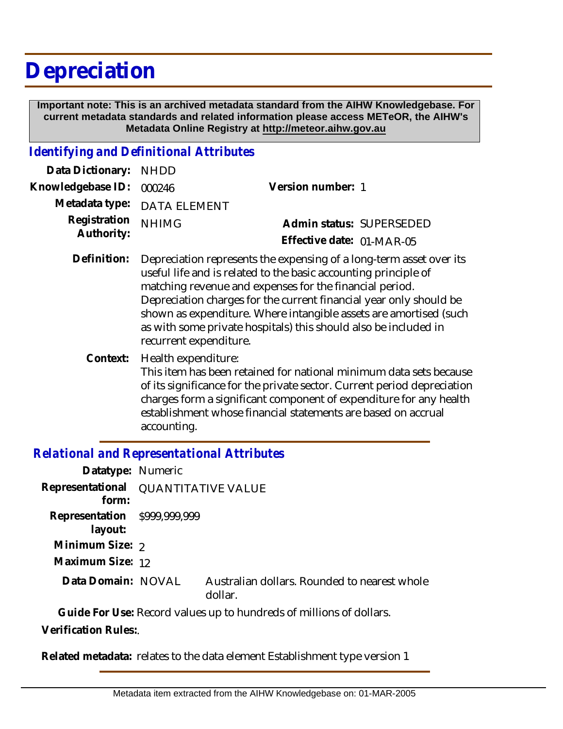# **Depreciation**

 **Important note: This is an archived metadata standard from the AIHW Knowledgebase. For current metadata standards and related information please access METeOR, the AIHW's Metadata Online Registry at http://meteor.aihw.gov.au**

#### *Identifying and Definitional Attributes*

| Data Dictionary: NHDD      |                                                                                                                                        |                           |                          |
|----------------------------|----------------------------------------------------------------------------------------------------------------------------------------|---------------------------|--------------------------|
| Knowledgebase ID:          | 000246                                                                                                                                 | Version number: 1         |                          |
|                            | Metadata type: DATA ELEMENT                                                                                                            |                           |                          |
| Registration<br>Authority: | <b>NHIMG</b>                                                                                                                           |                           | Admin status: SUPERSEDED |
|                            |                                                                                                                                        | Effective date: 01-MAR-05 |                          |
| Definition:                | Depreciation represents the expensing of a long-term asset over its<br>useful life and is related to the basic accounting principle of |                           |                          |

- matching revenue and expenses for the financial period. Depreciation charges for the current financial year only should be shown as expenditure. Where intangible assets are amortised (such as with some private hospitals) this should also be included in recurrent expenditure.
- Health expenditure: This item has been retained for national minimum data sets because of its significance for the private sector. Current period depreciation charges form a significant component of expenditure for any health establishment whose financial statements are based on accrual accounting. **Context:**

### *Relational and Representational Attributes*

| Datatype: Numeric                            |                                                         |
|----------------------------------------------|---------------------------------------------------------|
| Representational QUANTITATIVE VALUE<br>form: |                                                         |
| Representation \$999,999,999<br>layout:      |                                                         |
| Minimum Size: 2                              |                                                         |
| Maximum Size: 12                             |                                                         |
| Data Domain: NOVAL                           | Australian dollars. Rounded to nearest whole<br>dollar. |

**Guide For Use:** Record values up to hundreds of millions of dollars. **Verification Rules:**.

**Related metadata:** relates to the data element Establishment type version 1